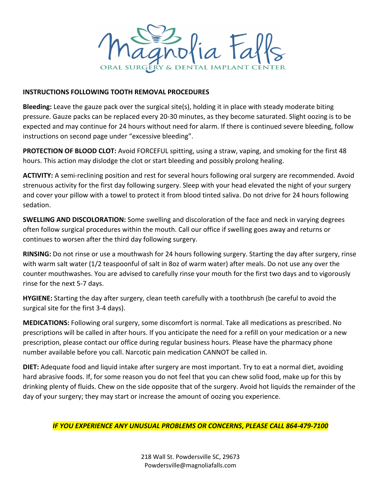

## **INSTRUCTIONS FOLLOWING TOOTH REMOVAL PROCEDURES**

**Bleeding:** Leave the gauze pack over the surgical site(s), holding it in place with steady moderate biting pressure. Gauze packs can be replaced every 20-30 minutes, as they become saturated. Slight oozing is to be expected and may continue for 24 hours without need for alarm. If there is continued severe bleeding, follow instructions on second page under "excessive bleeding".

**PROTECTION OF BLOOD CLOT:** Avoid FORCEFUL spitting, using a straw, vaping, and smoking for the first 48 hours. This action may dislodge the clot or start bleeding and possibly prolong healing.

**ACTIVITY:** A semi-reclining position and rest for several hours following oral surgery are recommended. Avoid strenuous activity for the first day following surgery. Sleep with your head elevated the night of your surgery and cover your pillow with a towel to protect it from blood tinted saliva. Do not drive for 24 hours following sedation.

**SWELLING AND DISCOLORATION:** Some swelling and discoloration of the face and neck in varying degrees often follow surgical procedures within the mouth. Call our office if swelling goes away and returns or continues to worsen after the third day following surgery.

**RINSING:** Do not rinse or use a mouthwash for 24 hours following surgery. Starting the day after surgery, rinse with warm salt water (1/2 teaspoonful of salt in 8oz of warm water) after meals. Do not use any over the counter mouthwashes. You are advised to carefully rinse your mouth for the first two days and to vigorously rinse for the next 5-7 days.

**HYGIENE:** Starting the day after surgery, clean teeth carefully with a toothbrush (be careful to avoid the surgical site for the first 3-4 days).

**MEDICATIONS:** Following oral surgery, some discomfort is normal. Take all medications as prescribed. No prescriptions will be called in after hours. If you anticipate the need for a refill on your medication or a new prescription, please contact our office during regular business hours. Please have the pharmacy phone number available before you call. Narcotic pain medication CANNOT be called in.

**DIET:** Adequate food and liquid intake after surgery are most important. Try to eat a normal diet, avoiding hard abrasive foods. If, for some reason you do not feel that you can chew solid food, make up for this by drinking plenty of fluids. Chew on the side opposite that of the surgery. Avoid hot liquids the remainder of the day of your surgery; they may start or increase the amount of oozing you experience.

*IF YOU EXPERIENCE ANY UNUSUAL PROBLEMS OR CONCERNS***,** *PLEASE CALL 864-479-7100*